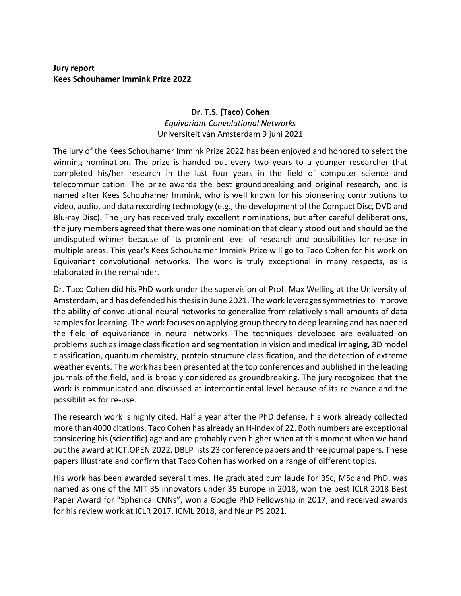## **Jury report Kees Schouhamer Immink Prize 2022**

## **Dr. T.S. (Taco) Cohen** *Equivariant Convolutional Networks* Universiteit van Amsterdam 9 juni 2021

The jury of the Kees Schouhamer Immink Prize 2022 has been enjoyed and honored to select the winning nomination. The prize is handed out every two years to a younger researcher that completed his/her research in the last four years in the field of computer science and telecommunication. The prize awards the best groundbreaking and original research, and is named after Kees Schouhamer Immink, who is well known for his pioneering contributions to video, audio, and data recording technology (e.g., the development of the Compact Disc, DVD and Blu-ray Disc). The jury has received truly excellent nominations, but after careful deliberations, the jury members agreed that there was one nomination that clearly stood out and should be the undisputed winner because of its prominent level of research and possibilities for re-use in multiple areas. This year's Kees Schouhamer Immink Prize will go to Taco Cohen for his work on Equivariant convolutional networks. The work is truly exceptional in many respects, as is elaborated in the remainder.

Dr. Taco Cohen did his PhD work under the supervision of Prof. Max Welling at the University of Amsterdam, and has defended his thesis in June 2021. The work leverages symmetries to improve the ability of convolutional neural networks to generalize from relatively small amounts of data samples for learning. The work focuses on applying group theory to deep learning and has opened the field of equivariance in neural networks. The techniques developed are evaluated on problems such as image classification and segmentation in vision and medical imaging, 3D model classification, quantum chemistry, protein structure classification, and the detection of extreme weather events. The work has been presented at the top conferences and published in the leading journals of the field, and is broadly considered as groundbreaking. The jury recognized that the work is communicated and discussed at intercontinental level because of its relevance and the possibilities for re-use.

The research work is highly cited. Half a year after the PhD defense, his work already collected more than 4000 citations. Taco Cohen has already an H-index of 22. Both numbers are exceptional considering his (scientific) age and are probably even higher when at this moment when we hand out the award at ICT.OPEN 2022. DBLP lists 23 conference papers and three journal papers. These papers illustrate and confirm that Taco Cohen has worked on a range of different topics.

His work has been awarded several times. He graduated cum laude for BSc, MSc and PhD, was named as one of the MIT 35 innovators under 35 Europe in 2018, won the best ICLR 2018 Best Paper Award for "Spherical CNNs", won a Google PhD Fellowship in 2017, and received awards for his review work at ICLR 2017, ICML 2018, and NeurIPS 2021.